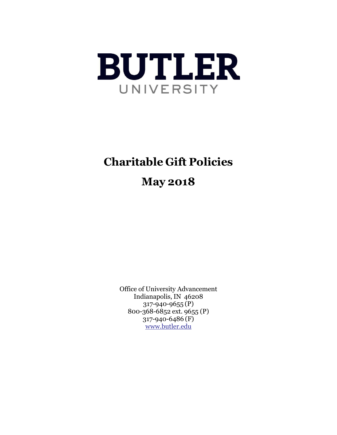

# **Charitable Gift Policies**

# **May 2018**

Office of University Advancement Indianapolis, IN 46208 317-940-9655 (P) 800-368-6852 ext. 9655 (P) 317-940-6486 (F) [www.butler.edu](http://www.butler.edu/)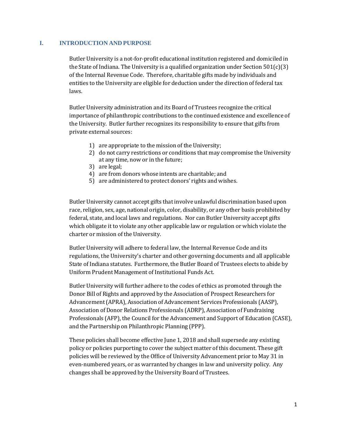#### **I. INTRODUCTION AND PURPOSE**

Butler University is a not-for-profit educational institution registered and domiciled in the State of Indiana. The University is a qualified organization under Section  $501(c)(3)$ of the Internal Revenue Code. Therefore, charitable gifts made by individuals and entities to the University are eligible for deduction under the direction of federal tax laws.

Butler University administration and its Board of Trustees recognize the critical importance of philanthropic contributions to the continued existence and excellence of the University. Butler further recognizes its responsibility to ensure that gifts from private external sources:

- 1) are appropriate to the mission of the University;
- 2) do not carry restrictions or conditions that may compromise the University at any time, now or in the future;
- 3) are legal;
- 4) are from donors whose intents are charitable; and
- 5) are administered to protect donors' rights and wishes.

Butler University cannot accept gifts that involve unlawful discrimination based upon race, religion, sex, age, national origin, color, disability, or any other basis prohibited by federal, state, and local laws and regulations. Nor can Butler University accept gifts which obligate it to violate any other applicable law or regulation or which violate the charter or mission of the University.

Butler University will adhere to federal law, the Internal Revenue Code and its regulations, the University's charter and other governing documents and all applicable State of Indiana statutes. Furthermore, the Butler Board of Trustees elects to abide by Uniform Prudent Management of Institutional Funds Act.

Butler University will further adhere to the codes of ethics as promoted through the Donor Bill of Rights and approved by the Association of Prospect Researchers for Advancement(APRA), Association of Advancement Services Professionals (AASP), Association of Donor Relations Professionals (ADRP), Association of Fundraising Professionals (AFP), the Council for the Advancement and Support of Education (CASE), and the Partnership on Philanthropic Planning (PPP).

These policies shall become effective June 1, 2018 and shall supersede any existing policy or policies purporting to cover the subject matter of this document. These gift policies will be reviewed by the Office of University Advancement prior to May 31 in even-numbered years, or as warranted by changes in law and university policy. Any changes shall be approved by the University Board of Trustees.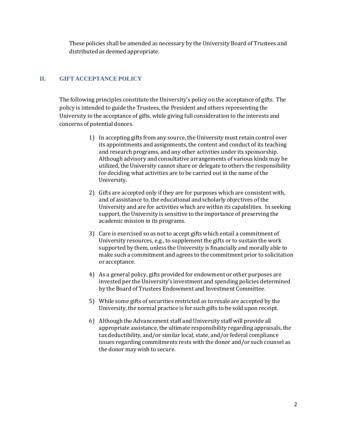These policies shall be amended as necessary by the University Board of Trustees and distributed as deemed appropriate.

# **II. GIFT ACCEPTANCE POLICY**

The following principles constitute the University's policy on the acceptance of gifts. The policy is intended to guide the Trustees, the President and others representing the University in the acceptance of gifts, while giving full consideration to the interests and concerns of potential donors.

- 1) In accepting gifts from any source, the University must retain control over its appointments and assignments, the content and conduct of its teaching and research programs, and any other activities under its sponsorship. Although advisory and consultative arrangements of various kinds may be utilized, the University cannot share or delegate to others the responsibility for deciding what activities are to be carried out in the name of the University.
- 2) Gifts are accepted only if they are for purposes which are consistent with, and of assistance to, the educational and scholarly objectives of the University and are for activities which are within its capabilities. In seeking support, the University is sensitive to the importance of preserving the academic mission in its programs.
- 3) Care is exercised so as not to accept gifts which entail a commitment of University resources, e.g., to supplement the gifts or to sustain the work supported by them, unless the University is financially and morally able to make such a commitment and agrees to the commitment prior to solicitation or acceptance.
- 4) As a general policy, gifts provided for endowment or other purposes are invested per the University's investment and spending policies determined by the Board of Trustees Endowment and Investment Committee.
- 5) While some gifts of securities restricted as to resale are accepted by the University, the normal practice is for such gifts to be sold upon receipt.
- 6) Although the Advancement staff and University staff will provide all appropriate assistance, the ultimate responsibility regarding appraisals, the tax deductibility, and/or similar local, state, and/or federal compliance issues regarding commitments rests with the donor and/or such counsel as the donor may wish to secure.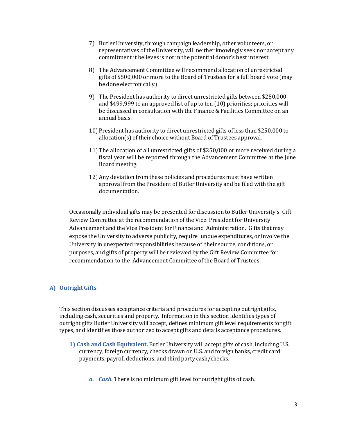- 7) Butler University, through campaign leadership, other volunteers, or representatives of the University, will neither knowingly seek nor accept any commitment it believes is not in the potential donor's best interest.
- 8) The Advancement Committee will recommend allocation of unrestricted gifts of \$500,000 or more to the Board of Trustees for a full board vote (may be done electronically)
- 9) The President has authority to direct unrestricted gifts between \$250,000 and \$499,999 to an approved list of up to ten (10) priorities; priorities will be discussed in consultation with the Finance & Facilities Committee on an annual basis.
- 10) President has authority to direct unrestricted gifts of less than \$250,000 to allocation(s) of their choice without Board of Trustees approval.
- 11) The allocation of all unrestricted gifts of \$250,000 or more received during a fiscal year will be reported through the Advancement Committee at the June Board meeting.
- 12) Any deviation from these policies and procedures must have written approval from the President of Butler University and be filed with the gift documentation.

Occasionally individual gifts may be presented for discussion to Butler University's Gift Review Committee at the recommendation of the Vice President for University Advancement and the Vice President for Finance and Administration. Gifts that may expose the University to adverse publicity, require undue expenditures, or involve the University in unexpected responsibilities because of their source, conditions, or purposes, and gifts of property will be reviewed by the Gift Review Committee for recommendation to the Advancement Committee of the Board of Trustees.

# **A) OutrightGifts**

This section discusses acceptance criteria and procedures for accepting outright gifts, including cash, securities and property. Information in this section identifies types of outright gifts Butler University will accept, defines minimum gift level requirements for gift types, and identifies those authorized to accept gifts and details acceptance procedures.

- **1) Cash and Cash Equivalent.** Butler University will accept gifts of cash, including U.S. currency, foreign currency, checks drawn on U.S. and foreign banks, credit card payments, payroll deductions, and third party cash/checks.
	- *a. Cash.* There is no minimum gift level for outright gifts of cash.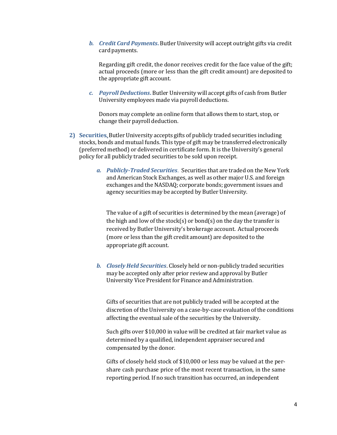*b. Credit Card Payments***.** Butler University will accept outright gifts via credit card payments.

Regarding gift credit, the donor receives credit for the face value of the gift; actual proceeds (more or less than the gift credit amount) are deposited to the appropriate gift account.

*c. Payroll Deductions***.** Butler University will accept gifts of cash from Butler University employees made via payroll deductions.

Donors may complete an online form that allows them to start, stop, or change their payroll deduction.

- **2) Securities**. Butler University accepts gifts of publicly traded securities including stocks, bonds and mutual funds. This type of gift may be transferred electronically (preferred method) or delivered in certificate form. It is the University's general policy for all publicly traded securities to be sold upon receipt.
	- *a. Publicly-Traded Securities.* Securities that are traded on the New York and American Stock Exchanges, as well as other major U.S. and foreign exchanges and the NASDAQ; corporate bonds; government issues and agency securities may be accepted by Butler University.

The value of a gift of securities is determined by the mean (average) of the high and low of the stock(s) or bond(s) on the day the transfer is received by Butler University's brokerage account. Actual proceeds (more or less than the gift credit amount) are deposited to the appropriate gift account.

*b. Closely Held Securities*. Closely held or non-publicly traded securities may be accepted only after prior review and approval by Butler University Vice President for Finance and Administration.

Gifts of securities that are not publicly traded will be accepted at the discretion of the University on a case-by-case evaluation of the conditions affecting the eventual sale of the securities by the University.

Such gifts over \$10,000 in value will be credited at fair market value as determined by a qualified, independent appraiser secured and compensated by the donor.

Gifts of closely held stock of \$10,000 or less may be valued at the pershare cash purchase price of the most recent transaction, in the same reporting period. If no such transition has occurred, an independent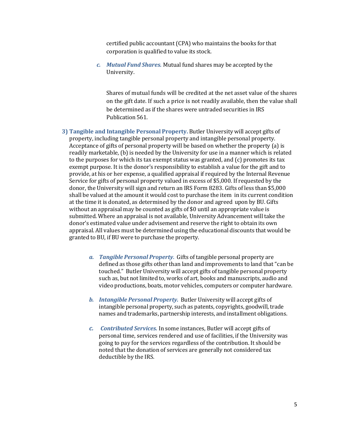certified public accountant(CPA) who maintains the books for that corporation is qualified to value its stock.

*c. Mutual Fund Shares.* Mutual fund shares may be accepted by the University.

Shares of mutual funds will be credited at the net asset value of the shares on the gift date. If such a price is not readily available, then the value shall be determined as if the shares were untraded securities in IRS Publication 561.

- **3) Tangible and Intangible Personal Property.** Butler University will accept gifts of property, including tangible personal property and intangible personal property. Acceptance of gifts of personal property will be based on whether the property (a) is readily marketable, (b) is needed by the University for use in a manner which is related to the purposes for which its tax exempt status was granted, and (c) promotes its tax exempt purpose. It is the donor's responsibility to establish a value for the gift and to provide, at his or her expense, a qualified appraisal if required by the Internal Revenue Service for gifts of personal property valued in excess of \$5,000. If requested by the donor, the University will sign and return an IRS Form 8283. Gifts of less than \$5,000 shall be valued at the amount it would cost to purchase the item in its current condition at the time it is donated, as determined by the donor and agreed upon by BU. Gifts without an appraisal may be counted as gifts of \$0 until an appropriate value is submitted. Where an appraisal is not available, University Advancement will take the donor's estimated value under advisement and reserve the right to obtain its own appraisal. All values must be determined using the educational discounts that would be granted to BU, if BU were to purchase the property.
	- *a. Tangible Personal Property.* Gifts of tangible personal property are defined as those gifts other than land and improvements to land that"can be touched." Butler University will accept gifts of tangible personal property such as, but not limited to, works of art, books and manuscripts, audio and video productions, boats, motor vehicles, computers or computer hardware.
	- *b. Intangible Personal Property.* Butler University will accept gifts of intangible personal property, such as patents, copyrights, goodwill, trade names and trademarks, partnership interests, and installment obligations.
	- *c. Contributed Services.* In some instances, Butler will accept gifts of personal time, services rendered and use of facilities, if the University was going to pay for the services regardless of the contribution. It should be noted that the donation of services are generally not considered tax deductible by the IRS.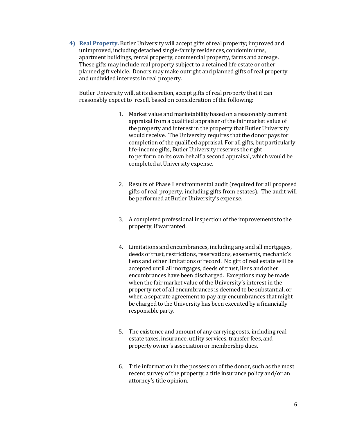**4) Real Property.** Butler University will accept gifts of real property; improved and unimproved, including detached single-family residences, condominiums, apartment buildings, rental property, commercial property, farms and acreage. These gifts may include real property subject to a retained life estate or other planned gift vehicle. Donors may make outright and planned gifts of real property and undivided interests in real property.

Butler University will, at its discretion, accept gifts of real property that it can reasonably expect to resell, based on consideration of the following:

- 1. Market value and marketability based on a reasonably current appraisal from a qualified appraiser of the fair market value of the property and interest in the property that Butler University would receive. The University requires that the donor pays for completion of the qualified appraisal. For all gifts, but particularly life-income gifts, Butler University reserves the right to perform on its own behalf a second appraisal, which would be completed at University expense.
- 2. Results of Phase I environmental audit (required for all proposed gifts of real property, including gifts from estates). The audit will be performed at Butler University's expense.
- 3. A completed professional inspection of the improvements to the property, if warranted.
- 4. Limitations and encumbrances, including any and all mortgages, deeds of trust, restrictions, reservations, easements, mechanic's liens and other limitations of record. No gift of real estate will be accepted until all mortgages, deeds of trust, liens and other encumbrances have been discharged. Exceptions may be made when the fair market value of the University's interest in the property net of all encumbrances is deemed to be substantial, or when a separate agreement to pay any encumbrances that might be charged to the University has been executed by a financially responsible party.
- 5. The existence and amount of any carrying costs, including real estate taxes, insurance, utility services, transfer fees, and property owner's association or membership dues.
- 6. Title information in the possession of the donor, such as the most recent survey of the property, a title insurance policy and/or an attorney's title opinion.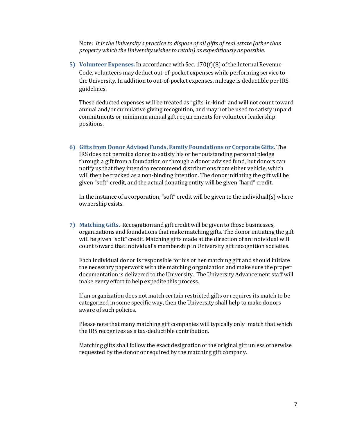Note: *It is the University's practice to dispose of all gifts of real estate (other than property which the University wishesto retain) as expeditiously as possible*.

**5) Volunteer Expenses.** In accordance with Sec. 170(f)(8) of the Internal Revenue Code, volunteers may deduct out-of-pocket expenses while performing service to the University. In addition to out-of-pocket expenses, mileage is deductible per IRS guidelines.

These deducted expenses will be treated as "gifts-in-kind" and will not count toward annual and/or cumulative giving recognition, and may not be used to satisfy unpaid commitments or minimum annual gift requirements for volunteer leadership positions.

**6) Gifts from Donor Advised Funds, Family Foundations or Corporate Gifts.** The IRS does not permit a donor to satisfy his or her outstanding personal pledge through a gift from a foundation or through a donor advised fund, but donors can notify us that they intend to recommend distributions from either vehicle, which will then be tracked as a non-binding intention. The donor initiating the gift will be given "soft" credit, and the actual donating entity will be given "hard" credit.

In the instance of a corporation,"soft" credit will be given to the individual(s) where ownership exists.

**7) Matching Gifts.** Recognition and gift credit will be given to those businesses, organizations and foundations that make matching gifts. The donor initiating the gift will be given "soft" credit. Matching gifts made at the direction of an individual will count toward that individual's membership in University gift recognition societies.

Each individual donor is responsible for his or her matching gift and should initiate the necessary paperwork with the matching organization and make sure the proper documentation is delivered to the University. The University Advancement staff will make every effort to help expedite this process.

If an organization does not match certain restricted gifts or requires its match to be categorized in some specific way, then the University shall help to make donors aware of such policies.

Please note that many matching gift companies will typically only match that which the IRS recognizes as a tax-deductible contribution.

Matching gifts shall follow the exact designation of the original gift unless otherwise requested by the donor or required by the matching gift company.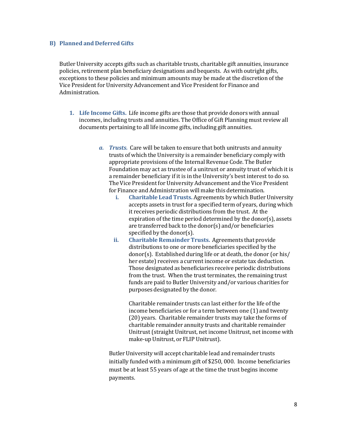## **B) Planned and Deferred Gifts**

Butler University accepts gifts such as charitable trusts, charitable gift annuities, insurance policies, retirement plan beneficiary designations and bequests. As with outright gifts, exceptions to these policies and minimum amounts may be made at the discretion of the Vice President for University Advancement and Vice President for Finance and Administration.

- **1. Life Income Gifts.** Life income gifts are those that provide donors with annual incomes, including trusts and annuities. The Office of Gift Planning must review all documents pertaining to all life income gifts, including gift annuities.
	- *a. Trusts.* Care will be taken to ensure that both unitrusts and annuity trusts of which the University is a remainder beneficiary comply with appropriate provisions of the Internal Revenue Code. The Butler Foundation may act as trustee of a unitrust or annuity trust of which it is a remainder beneficiary if it is in the University's best interest to do so. The Vice President for University Advancement and the Vice President for Finance and Administration will make this determination.
		- **i. Charitable Lead Trusts.** Agreements by which Butler University accepts assets in trust for a specified term of years, during which it receives periodic distributions from the trust. At the expiration of the time period determined by the donor(s), assets are transferred back to the donor(s) and/or beneficiaries specified by the donor(s).
		- **ii. Charitable Remainder Trusts.** Agreements that provide distributions to one or more beneficiaries specified by the donor(s). Established during life or at death, the donor (or his/ her estate) receives a current income or estate tax deduction. Those designated as beneficiaries receive periodic distributions from the trust. When the trust terminates, the remaining trust funds are paid to Butler University and/or various charities for purposes designated by the donor.

Charitable remainder trusts can last either for the life of the income beneficiaries or for a term between one (1) and twenty (20) years. Charitable remainder trusts may take the forms of charitable remainder annuity trusts and charitable remainder Unitrust(straight Unitrust, net income Unitrust, net income with make-up Unitrust, or FLIP Unitrust).

Butler University will accept charitable lead and remainder trusts initially funded with a minimum gift of \$250, 000. Income beneficiaries must be at least 55 years of age at the time the trust begins income payments.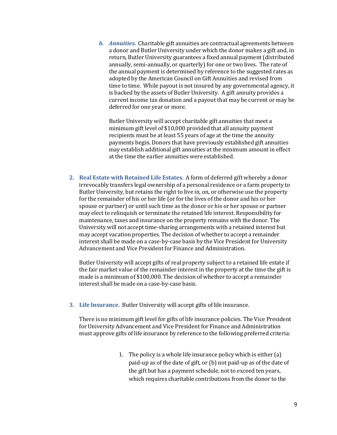*b. Annuities.* Charitable gift annuities are contractual agreements between a donor and Butler University under which the donor makes a gift and, in return, Butler University guarantees a fixed annual payment (distributed annually, semi-annually, or quarterly) for one or two lives. The rate of the annual payment is determined by reference to the suggested rates as adopted by the American Council on Gift Annuities and revised from time to time. While payout is not insured by any governmental agency, it is backed by the assets of Butler University. A gift annuity provides a current income tax donation and a payout that may be current or may be deferred for one year or more.

Butler University will accept charitable gift annuities that meet a minimum gift level of \$10,000 provided that all annuity payment recipients must be at least 55 years of age at the time the annuity payments begin. Donors that have previously established gift annuities may establish additional gift annuities at the minimum amount in effect at the time the earlier annuities were established.

**2. Real Estate with Retained Life Estates**. A form of deferred gift whereby a donor irrevocably transfers legal ownership of a personal residence or a farm property to Butler University, but retains the right to live in, on, or otherwise use the property for the remainder of his or her life (or for the lives of the donor and his or her spouse or partner) or until such time as the donor or his or her spouse or partner may elect to relinquish or terminate the retained life interest. Responsibility for maintenance, taxes and insurance on the property remains with the donor. The University will not accept time-sharing arrangements with a retained interest but may accept vacation properties. The decision of whether to accept a remainder interest shall be made on a case-by-case basis by the Vice President for University Advancement and Vice President for Finance and Administration.

Butler University will accept gifts of real property subject to a retained life estate if the fair market value of the remainder interest in the property at the time the gift is made is a minimum of \$100,000. The decision of whether to accept a remainder interest shall be made on a case-by-case basis.

**3. Life Insurance.** Butler University will accept gifts of life insurance.

There is no minimum gift level for gifts of life insurance policies. The Vice President for University Advancement and Vice President for Finance and Administration must approve gifts of life insurance by reference to the following preferred criteria:

> 1. The policy is a whole life insurance policy which is either (a) paid-up as of the date of gift, or (b) not paid-up as of the date of the gift but has a payment schedule, not to exceed ten years, which requires charitable contributions from the donor to the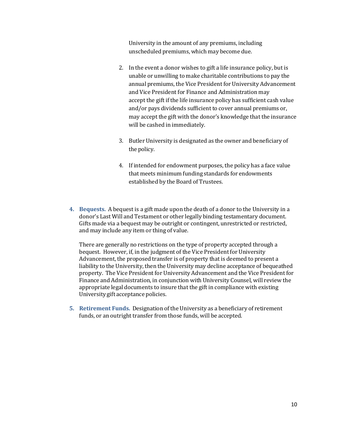University in the amount of any premiums, including unscheduled premiums, which may become due.

- 2. In the event a donor wishes to gift a life insurance policy, but is unable or unwilling to make charitable contributions to pay the annual premiums, the Vice President for University Advancement and Vice President for Finance and Administration may accept the gift if the life insurance policy has sufficient cash value and/or pays dividends sufficient to cover annual premiums or, may accept the gift with the donor's knowledge that the insurance will be cashed in immediately.
- 3. Butler University is designated as the owner and beneficiary of the policy.
- 4. If intended for endowment purposes, the policy has a face value that meets minimum funding standards for endowments established by the Board of Trustees.
- **4. Bequests.** A bequest is a gift made upon the death of a donor to the University in a donor's Last Will and Testament or other legally binding testamentary document. Gifts made via a bequest may be outright or contingent, unrestricted or restricted, and may include any item or thing of value.

There are generally no restrictions on the type of property accepted through a bequest. However, if, in the judgment of the Vice President for University Advancement, the proposed transfer is of property that is deemed to present a liability to the University, then the University may decline acceptance of bequeathed property. The Vice President for University Advancement and the Vice President for Finance and Administration, in conjunction with University Counsel, will review the appropriate legal documents to insure that the gift in compliance with existing University gift acceptance policies.

**5. Retirement Funds.** Designation of the University as a beneficiary of retirement funds, or an outright transfer from those funds, will be accepted.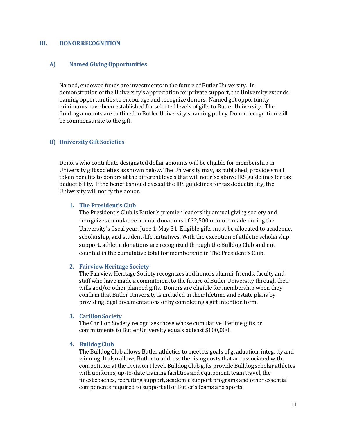#### **III. DONORRECOGNITION**

#### **A) NamedGivingOpportunities**

Named, endowed funds are investments in the future of Butler University. In demonstration of the University's appreciation for private support, the University extends naming opportunities to encourage and recognize donors. Named gift opportunity minimums have been established for selected levels of gifts to Butler University. The funding amounts are outlined in Butler University's naming policy. Donor recognition will be commensurate to the gift.

#### **B) University Gift Societies**

Donors who contribute designated dollar amounts will be eligible for membership in University gift societies as shown below. The University may, as published, provide small token benefits to donors at the different levels that will not rise above IRS guidelines for tax deductibility. If the benefit should exceed the IRS guidelines for tax deductibility, the University will notify the donor.

#### **1. The President's Club**

The President's Club is Butler's premier leadership annual giving society and recognizes cumulative annual donations of \$2,500 or more made during the University's fiscal year, June 1-May 31. Eligible gifts must be allocated to academic, scholarship, and student-life initiatives. With the exception of athletic scholarship support, athletic donations are recognized through the Bulldog Club and not counted in the cumulative total for membership in The President's Club.

#### **2. FairviewHeritage Society**

The Fairview Heritage Society recognizes and honors alumni, friends, faculty and staff who have made a commitment to the future of Butler University through their wills and/or other planned gifts. Donors are eligible for membership when they confirm that Butler University is included in their lifetime and estate plans by providing legal documentations or by completing a gift intention form.

#### **3. CarillonSociety**

The Carillon Society recognizes those whose cumulative lifetime gifts or commitments to Butler University equals at least \$100,000.

#### **4. Bulldog Club**

The Bulldog Club allows Butler athletics to meet its goals of graduation, integrity and winning. It also allows Butler to address the rising costs that are associated with competition at the Division I level. Bulldog Club gifts provide Bulldog scholar athletes with uniforms, up-to-date training facilities and equipment, team travel, the finest coaches, recruiting support, academic support programs and other essential components required to support all of Butler's teams and sports.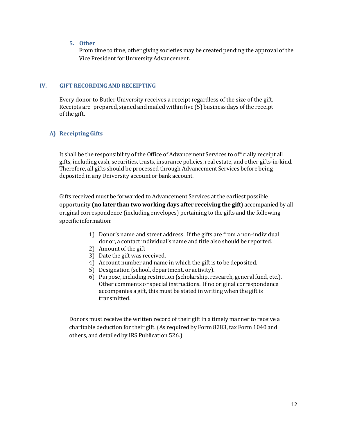## **5. Other**

From time to time, other giving societies may be created pending the approval of the Vice President for University Advancement.

## **IV. GIFT RECORDINGAND RECEIPTING**

Every donor to Butler University receives a receipt regardless of the size of the gift. Receipts are prepared, signed and mailed within five (5) business days ofthe receipt of the gift.

# **A) ReceiptingGifts**

It shall be the responsibility of the Office of Advancement Services to officially receipt all gifts, including cash, securities, trusts, insurance policies, real estate, and other gifts-in-kind. Therefore, all gifts should be processed through Advancement Services before being deposited in any University account or bank account.

Gifts received must be forwarded to Advancement Services at the earliest possible opportunity **(no later than two working days after receiving the gift**) accompanied by all original correspondence (including envelopes) pertaining to the gifts and the following specific information:

- 1) Donor's name and street address. If the gifts are from a non-individual donor, a contact individual's name and title also should be reported.
- 2) Amount of the gift
- 3) Date the gift was received.
- 4) Account number and name in which the gift is to be deposited.
- 5) Designation (school, department, or activity).
- 6) Purpose, including restriction (scholarship, research, general fund, etc.). Other comments or special instructions. If no original correspondence accompanies a gift, this must be stated in writing when the gift is transmitted.

Donors must receive the written record of their gift in a timely manner to receive a charitable deduction for their gift.(As required by Form 8283, tax Form 1040 and others, and detailed by IRS Publication 526.)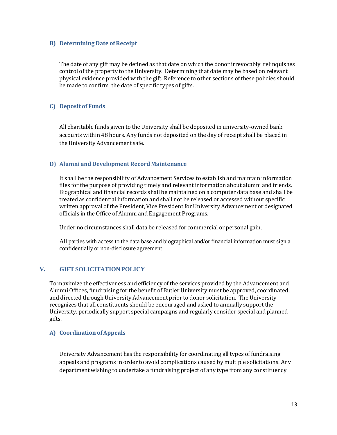## **B) Determining Date of Receipt**

The date of any gift may be defined as that date on which the donor irrevocably relinquishes control of the property to the University. Determining that date may be based on relevant physical evidence provided with the gift. Reference to other sections of these policies should be made to confirm the date of specific types of gifts.

# **C) Deposit of Funds**

All charitable funds given to the University shall be deposited in university-owned bank accounts within 48 hours. Any funds not deposited on the day of receipt shall be placed in the University Advancement safe.

## **D) Alumni and Development Record Maintenance**

It shall be the responsibility of Advancement Services to establish and maintain information files for the purpose of providing timely and relevant information about alumni and friends. Biographical and financial records shall be maintained on a computer data base and shall be treated as confidential information and shall not be released or accessed without specific written approval of the President, Vice President for University Advancement or designated officials in the Office of Alumni and Engagement Programs.

Under no circumstances shall data be released for commercial or personal gain.

All parties with access to the data base and biographical and/or financial information must sign a confidentially or non-disclosure agreement.

# **V. GIFT SOLICITATION POLICY**

To maximize the effectiveness and efficiency of the services provided by the Advancement and Alumni Offices, fundraising for the benefit of Butler University must be approved, coordinated, and directed through University Advancement prior to donor solicitation. The University recognizes that all constituents should be encouraged and asked to annually support the University, periodically support special campaigns and regularly consider special and planned gifts.

# **A) Coordination of Appeals**

University Advancement has the responsibility for coordinating all types of fundraising appeals and programs in order to avoid complications caused by multiple solicitations. Any department wishing to undertake a fundraising project of any type from any constituency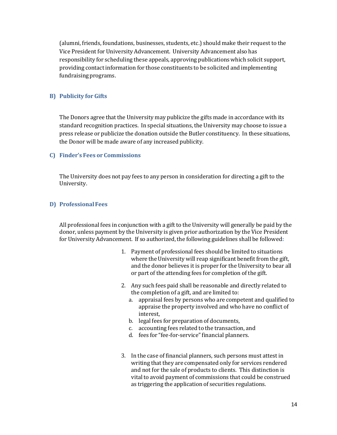(alumni, friends, foundations, businesses, students, etc.) should make their request to the Vice President for University Advancement. University Advancement also has responsibility for scheduling these appeals, approving publications which solicit support, providing contact information for those constituents to be solicited and implementing fundraisingprograms.

# **B) Publicity for Gifts**

The Donors agree that the University may publicize the gifts made in accordance with its standard recognition practices. In special situations, the University may choose to issue a press release or publicize the donation outside the Butler constituency. In these situations, the Donor will be made aware of any increased publicity.

## **C) Finder's Fees or Commissions**

The University does not pay fees to any person in consideration for directing a gift to the University.

## **D) ProfessionalFees**

All professional fees in conjunction with a gift to the University will generally be paid by the donor, unless payment by the University is given prior authorization by the Vice President for University Advancement. If so authorized, the following guidelines shall be followed**:**

- 1. Payment of professional fees should be limited to situations where the University will reap significant benefit from the gift, and the donor believes it is proper for the University to bear all or part of the attending fees for completion of the gift.
- 2. Any such fees paid shall be reasonable and directly related to the completion of a gift, and are limited to:
	- a. appraisal fees by persons who are competent and qualified to appraise the property involved and who have no conflict of interest,
	- b. legal fees for preparation of documents,
	- c. accounting fees related to the transaction, and
	- d. fees for "fee-for-service" financial planners.
- 3. In the case of financial planners, such persons must attest in writing that they are compensated only for services rendered and not for the sale of products to clients. This distinction is vital to avoid payment of commissions that could be construed as triggering the application of securities regulations.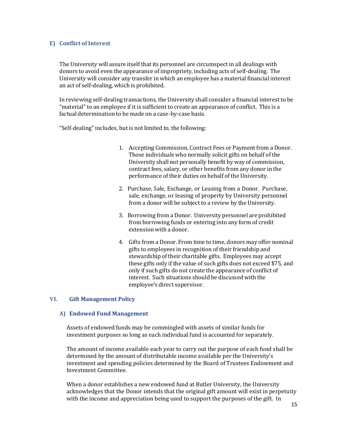## **E)** Conflict of Interest

The University will assure itself that its personnel are circumspect in all dealings with donors to avoid even the appearance of impropriety, including acts of self-dealing. The University will consider any transfer in which an employee has a material financial interest an act of self-dealing, which is prohibited.

In reviewing self-dealing transactions, the University shall consider a financial interest to be "material" to an employee if it is sufficient to create an appearance of conflict. This is a factual determination to be made on a case-by-case basis.

"Self-dealing" includes, but is not limited to, the following:

- 1. Accepting Commission, Contract Fees or Payment from a Donor. Those individuals who normally solicit gifts on behalf of the University shall not personally benefit by way of commission, contract fees, salary, or other benefits from any donor in the performance of their duties on behalf of the University.
- 2. Purchase, Sale, Exchange, or Leasing from a Donor. Purchase, sale, exchange, or leasing of property by University personnel from a donor will be subject to a review by the University.
- 3. Borrowing from a Donor. University personnel are prohibited from borrowing funds or entering into any form of credit extension with a donor.
- 4. Gifts from a Donor. From time to time, donors may offer nominal gifts to employees in recognition of their friendship and stewardship of their charitable gifts. Employees may accept these gifts only if the value of such gifts does not exceed \$75, and only if such gifts do not create the appearance of conflict of interest. Such situations should be discussed with the employee's direct supervisor.

# **VI. Gift Management Policy**

## **A) Endowed Fund Management**

Assets of endowed funds may be commingled with assets of similar funds for investment purposes so long as each individual fund is accounted for separately.

The amount of income available each year to carry out the purpose of each fund shall be determined by the amount of distributable income available per the University's investment and spending policies determined by the Board of Trustees Endowment and Investment Committee.

When a donor establishes a new endowed fund at Butler University, the University acknowledges that the Donor intends that the original gift amount will exist in perpetuity with the income and appreciation being used to support the purposes of the gift. In